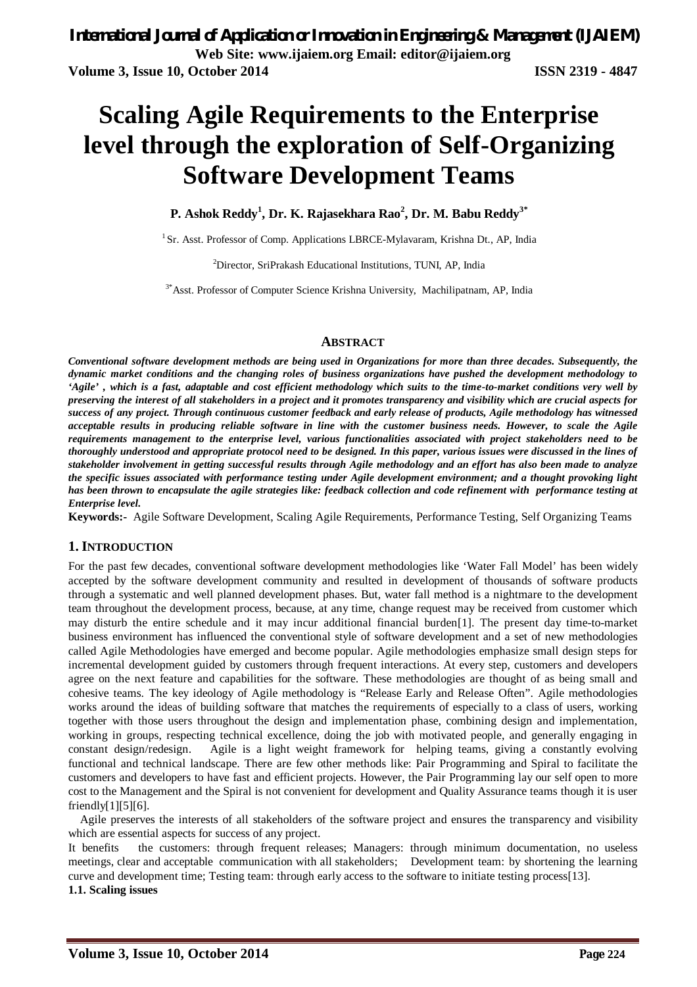# **Scaling Agile Requirements to the Enterprise level through the exploration of Self-Organizing Software Development Teams**

### **P. Ashok Reddy<sup>1</sup> , Dr. K. Rajasekhara Rao<sup>2</sup> , Dr. M. Babu Reddy3\***

<sup>1</sup> Sr. Asst. Professor of Comp. Applications LBRCE-Mylavaram, Krishna Dt., AP, India

<sup>2</sup>Director, SriPrakash Educational Institutions, TUNI, AP, India

<sup>3\*</sup>Asst. Professor of Computer Science Krishna University, Machilipatnam, AP, India

#### **ABSTRACT**

*Conventional software development methods are being used in Organizations for more than three decades. Subsequently, the dynamic market conditions and the changing roles of business organizations have pushed the development methodology to 'Agile' , which is a fast, adaptable and cost efficient methodology which suits to the time-to-market conditions very well by preserving the interest of all stakeholders in a project and it promotes transparency and visibility which are crucial aspects for success of any project. Through continuous customer feedback and early release of products, Agile methodology has witnessed acceptable results in producing reliable software in line with the customer business needs. However, to scale the Agile requirements management to the enterprise level, various functionalities associated with project stakeholders need to be thoroughly understood and appropriate protocol need to be designed. In this paper, various issues were discussed in the lines of stakeholder involvement in getting successful results through Agile methodology and an effort has also been made to analyze the specific issues associated with performance testing under Agile development environment; and a thought provoking light has been thrown to encapsulate the agile strategies like: feedback collection and code refinement with performance testing at Enterprise level.*

**Keywords:-** Agile Software Development, Scaling Agile Requirements, Performance Testing, Self Organizing Teams

#### **1. INTRODUCTION**

For the past few decades, conventional software development methodologies like 'Water Fall Model' has been widely accepted by the software development community and resulted in development of thousands of software products through a systematic and well planned development phases. But, water fall method is a nightmare to the development team throughout the development process, because, at any time, change request may be received from customer which may disturb the entire schedule and it may incur additional financial burden[1]. The present day time-to-market business environment has influenced the conventional style of software development and a set of new methodologies called Agile Methodologies have emerged and become popular. Agile methodologies emphasize small design steps for incremental development guided by customers through frequent interactions. At every step, customers and developers agree on the next feature and capabilities for the software. These methodologies are thought of as being small and cohesive teams. The key ideology of Agile methodology is "Release Early and Release Often". Agile methodologies works around the ideas of building software that matches the requirements of especially to a class of users, working together with those users throughout the design and implementation phase, combining design and implementation, working in groups, respecting technical excellence, doing the job with motivated people, and generally engaging in constant design/redesign. Agile is a light weight framework for helping teams, giving a constantly evolving functional and technical landscape. There are few other methods like: Pair Programming and Spiral to facilitate the customers and developers to have fast and efficient projects. However, the Pair Programming lay our self open to more cost to the Management and the Spiral is not convenient for development and Quality Assurance teams though it is user friendly[1][5][6].

Agile preserves the interests of all stakeholders of the software project and ensures the transparency and visibility which are essential aspects for success of any project.

It benefits the customers: through frequent releases; Managers: through minimum documentation, no useless meetings, clear and acceptable communication with all stakeholders; Development team: by shortening the learning curve and development time; Testing team: through early access to the software to initiate testing process[13]. **1.1. Scaling issues**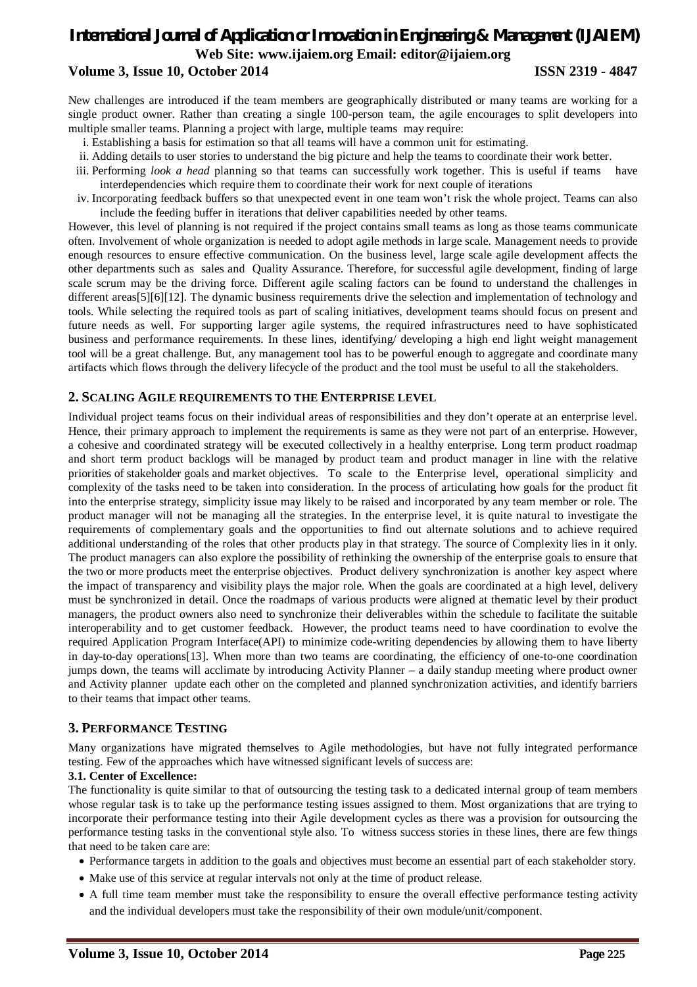# *International Journal of Application or Innovation in Engineering & Management (IJAIEM)* **Web Site: www.ijaiem.org Email: editor@ijaiem.org Volume 3, Issue 10, October 2014 ISSN 2319 - 4847**

New challenges are introduced if the team members are geographically distributed or many teams are working for a single product owner. Rather than creating a single 100-person team, the agile encourages to split developers into multiple smaller teams. Planning a project with large, multiple teams may require:

- i. Establishing a basis for estimation so that all teams will have a common unit for estimating.
- ii. Adding details to user stories to understand the big picture and help the teams to coordinate their work better.
- iii. Performing *look a head* planning so that teams can successfully work together. This is useful if teams have interdependencies which require them to coordinate their work for next couple of iterations
- iv. Incorporating feedback buffers so that unexpected event in one team won't risk the whole project. Teams can also include the feeding buffer in iterations that deliver capabilities needed by other teams.

However, this level of planning is not required if the project contains small teams as long as those teams communicate often. Involvement of whole organization is needed to adopt agile methods in large scale. Management needs to provide enough resources to ensure effective communication. On the business level, large scale agile development affects the other departments such as sales and Quality Assurance. Therefore, for successful agile development, finding of large scale scrum may be the driving force. Different agile scaling factors can be found to understand the challenges in different areas[5][6][12]. The dynamic business requirements drive the selection and implementation of technology and tools. While selecting the required tools as part of scaling initiatives, development teams should focus on present and future needs as well. For supporting larger agile systems, the required infrastructures need to have sophisticated business and performance requirements. In these lines, identifying/ developing a high end light weight management tool will be a great challenge. But, any management tool has to be powerful enough to aggregate and coordinate many artifacts which flows through the delivery lifecycle of the product and the tool must be useful to all the stakeholders.

#### **2. SCALING AGILE REQUIREMENTS TO THE ENTERPRISE LEVEL**

Individual project teams focus on their individual areas of responsibilities and they don't operate at an enterprise level. Hence, their primary approach to implement the requirements is same as they were not part of an enterprise. However, a cohesive and coordinated strategy will be executed collectively in a healthy enterprise. Long term product roadmap and short term product backlogs will be managed by product team and product manager in line with the relative priorities of stakeholder goals and market objectives. To scale to the Enterprise level, operational simplicity and complexity of the tasks need to be taken into consideration. In the process of articulating how goals for the product fit into the enterprise strategy, simplicity issue may likely to be raised and incorporated by any team member or role. The product manager will not be managing all the strategies. In the enterprise level, it is quite natural to investigate the requirements of complementary goals and the opportunities to find out alternate solutions and to achieve required additional understanding of the roles that other products play in that strategy. The source of Complexity lies in it only. The product managers can also explore the possibility of rethinking the ownership of the enterprise goals to ensure that the two or more products meet the enterprise objectives. Product delivery synchronization is another key aspect where the impact of transparency and visibility plays the major role. When the goals are coordinated at a high level, delivery must be synchronized in detail. Once the roadmaps of various products were aligned at thematic level by their product managers, the product owners also need to synchronize their deliverables within the schedule to facilitate the suitable interoperability and to get customer feedback. However, the product teams need to have coordination to evolve the required Application Program Interface(API) to minimize code-writing dependencies by allowing them to have liberty in day-to-day operations[13]. When more than two teams are coordinating, the efficiency of one-to-one coordination jumps down, the teams will acclimate by introducing Activity Planner – a daily standup meeting where product owner and Activity planner update each other on the completed and planned synchronization activities, and identify barriers to their teams that impact other teams.

#### **3. PERFORMANCE TESTING**

Many organizations have migrated themselves to Agile methodologies, but have not fully integrated performance testing. Few of the approaches which have witnessed significant levels of success are:

#### **3.1. Center of Excellence:**

The functionality is quite similar to that of outsourcing the testing task to a dedicated internal group of team members whose regular task is to take up the performance testing issues assigned to them. Most organizations that are trying to incorporate their performance testing into their Agile development cycles as there was a provision for outsourcing the performance testing tasks in the conventional style also. To witness success stories in these lines, there are few things that need to be taken care are:

- Performance targets in addition to the goals and objectives must become an essential part of each stakeholder story.
- Make use of this service at regular intervals not only at the time of product release.
- A full time team member must take the responsibility to ensure the overall effective performance testing activity and the individual developers must take the responsibility of their own module/unit/component.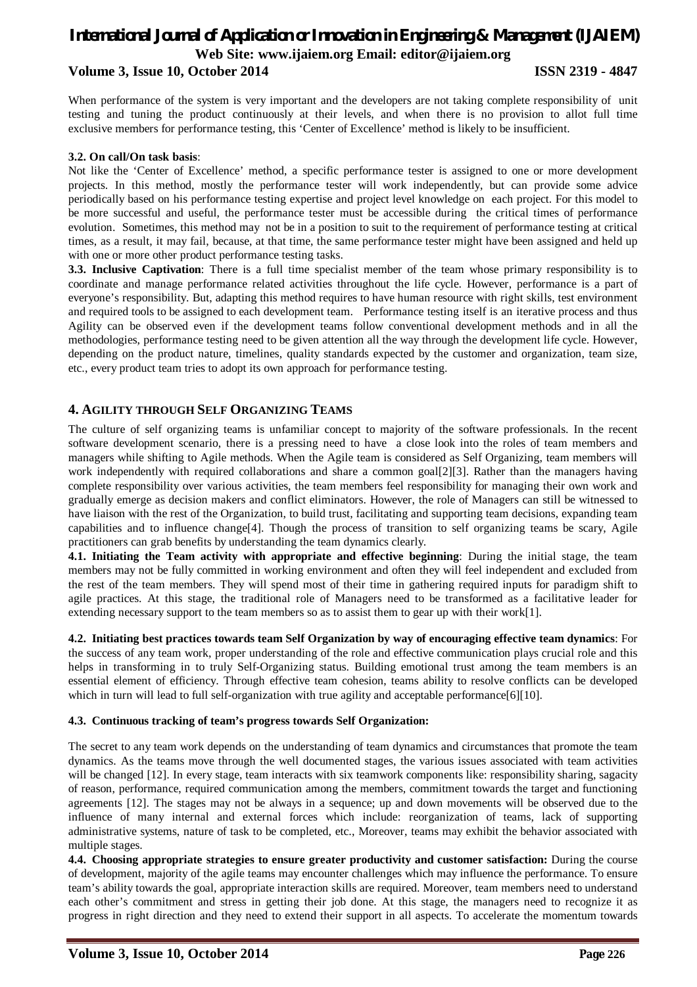# *International Journal of Application or Innovation in Engineering & Management (IJAIEM)* **Web Site: www.ijaiem.org Email: editor@ijaiem.org Volume 3, Issue 10, October 2014 ISSN 2319 - 4847**

When performance of the system is very important and the developers are not taking complete responsibility of unit testing and tuning the product continuously at their levels, and when there is no provision to allot full time exclusive members for performance testing, this 'Center of Excellence' method is likely to be insufficient.

#### **3.2. On call/On task basis**:

Not like the 'Center of Excellence' method, a specific performance tester is assigned to one or more development projects. In this method, mostly the performance tester will work independently, but can provide some advice periodically based on his performance testing expertise and project level knowledge on each project. For this model to be more successful and useful, the performance tester must be accessible during the critical times of performance evolution. Sometimes, this method may not be in a position to suit to the requirement of performance testing at critical times, as a result, it may fail, because, at that time, the same performance tester might have been assigned and held up with one or more other product performance testing tasks.

**3.3. Inclusive Captivation**: There is a full time specialist member of the team whose primary responsibility is to coordinate and manage performance related activities throughout the life cycle. However, performance is a part of everyone's responsibility. But, adapting this method requires to have human resource with right skills, test environment and required tools to be assigned to each development team. Performance testing itself is an iterative process and thus Agility can be observed even if the development teams follow conventional development methods and in all the methodologies, performance testing need to be given attention all the way through the development life cycle. However, depending on the product nature, timelines, quality standards expected by the customer and organization, team size, etc., every product team tries to adopt its own approach for performance testing.

#### **4. AGILITY THROUGH SELF ORGANIZING TEAMS**

The culture of self organizing teams is unfamiliar concept to majority of the software professionals. In the recent software development scenario, there is a pressing need to have a close look into the roles of team members and managers while shifting to Agile methods. When the Agile team is considered as Self Organizing, team members will work independently with required collaborations and share a common goal[2][3]. Rather than the managers having complete responsibility over various activities, the team members feel responsibility for managing their own work and gradually emerge as decision makers and conflict eliminators. However, the role of Managers can still be witnessed to have liaison with the rest of the Organization, to build trust, facilitating and supporting team decisions, expanding team capabilities and to influence change[4]. Though the process of transition to self organizing teams be scary, Agile practitioners can grab benefits by understanding the team dynamics clearly.

**4.1. Initiating the Team activity with appropriate and effective beginning**: During the initial stage, the team members may not be fully committed in working environment and often they will feel independent and excluded from the rest of the team members. They will spend most of their time in gathering required inputs for paradigm shift to agile practices. At this stage, the traditional role of Managers need to be transformed as a facilitative leader for extending necessary support to the team members so as to assist them to gear up with their work[1].

**4.2. Initiating best practices towards team Self Organization by way of encouraging effective team dynamics**: For the success of any team work, proper understanding of the role and effective communication plays crucial role and this helps in transforming in to truly Self-Organizing status. Building emotional trust among the team members is an essential element of efficiency. Through effective team cohesion, teams ability to resolve conflicts can be developed which in turn will lead to full self-organization with true agility and acceptable performance[6][10].

#### **4.3. Continuous tracking of team's progress towards Self Organization:**

The secret to any team work depends on the understanding of team dynamics and circumstances that promote the team dynamics. As the teams move through the well documented stages, the various issues associated with team activities will be changed [12]. In every stage, team interacts with six teamwork components like: responsibility sharing, sagacity of reason, performance, required communication among the members, commitment towards the target and functioning agreements [12]. The stages may not be always in a sequence; up and down movements will be observed due to the influence of many internal and external forces which include: reorganization of teams, lack of supporting administrative systems, nature of task to be completed, etc., Moreover, teams may exhibit the behavior associated with multiple stages.

**4.4. Choosing appropriate strategies to ensure greater productivity and customer satisfaction:** During the course of development, majority of the agile teams may encounter challenges which may influence the performance. To ensure team's ability towards the goal, appropriate interaction skills are required. Moreover, team members need to understand each other's commitment and stress in getting their job done. At this stage, the managers need to recognize it as progress in right direction and they need to extend their support in all aspects. To accelerate the momentum towards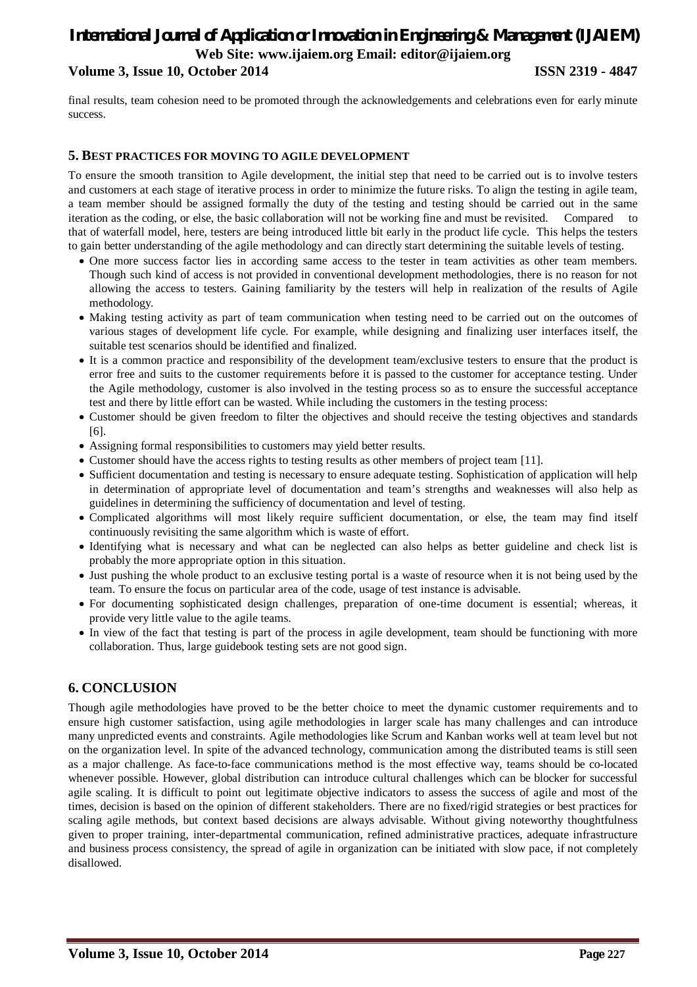# *International Journal of Application or Innovation in Engineering & Management (IJAIEM)* **Web Site: www.ijaiem.org Email: editor@ijaiem.org Volume 3, Issue 10, October 2014 ISSN 2319 - 4847**

final results, team cohesion need to be promoted through the acknowledgements and celebrations even for early minute success.

#### **5. BEST PRACTICES FOR MOVING TO AGILE DEVELOPMENT**

To ensure the smooth transition to Agile development, the initial step that need to be carried out is to involve testers and customers at each stage of iterative process in order to minimize the future risks. To align the testing in agile team, a team member should be assigned formally the duty of the testing and testing should be carried out in the same iteration as the coding, or else, the basic collaboration will not be working fine and must be revisited. Compared to that of waterfall model, here, testers are being introduced little bit early in the product life cycle. This helps the testers to gain better understanding of the agile methodology and can directly start determining the suitable levels of testing.

- One more success factor lies in according same access to the tester in team activities as other team members. Though such kind of access is not provided in conventional development methodologies, there is no reason for not allowing the access to testers. Gaining familiarity by the testers will help in realization of the results of Agile methodology.
- Making testing activity as part of team communication when testing need to be carried out on the outcomes of various stages of development life cycle. For example, while designing and finalizing user interfaces itself, the suitable test scenarios should be identified and finalized.
- It is a common practice and responsibility of the development team/exclusive testers to ensure that the product is error free and suits to the customer requirements before it is passed to the customer for acceptance testing. Under the Agile methodology, customer is also involved in the testing process so as to ensure the successful acceptance test and there by little effort can be wasted. While including the customers in the testing process:
- Customer should be given freedom to filter the objectives and should receive the testing objectives and standards [6].
- Assigning formal responsibilities to customers may yield better results.
- Customer should have the access rights to testing results as other members of project team [11].
- Sufficient documentation and testing is necessary to ensure adequate testing. Sophistication of application will help in determination of appropriate level of documentation and team's strengths and weaknesses will also help as guidelines in determining the sufficiency of documentation and level of testing.
- Complicated algorithms will most likely require sufficient documentation, or else, the team may find itself continuously revisiting the same algorithm which is waste of effort.
- Identifying what is necessary and what can be neglected can also helps as better guideline and check list is probably the more appropriate option in this situation.
- Just pushing the whole product to an exclusive testing portal is a waste of resource when it is not being used by the team. To ensure the focus on particular area of the code, usage of test instance is advisable.
- For documenting sophisticated design challenges, preparation of one-time document is essential; whereas, it provide very little value to the agile teams.
- In view of the fact that testing is part of the process in agile development, team should be functioning with more collaboration. Thus, large guidebook testing sets are not good sign.

# **6. CONCLUSION**

Though agile methodologies have proved to be the better choice to meet the dynamic customer requirements and to ensure high customer satisfaction, using agile methodologies in larger scale has many challenges and can introduce many unpredicted events and constraints. Agile methodologies like Scrum and Kanban works well at team level but not on the organization level. In spite of the advanced technology, communication among the distributed teams is still seen as a major challenge. As face-to-face communications method is the most effective way, teams should be co-located whenever possible. However, global distribution can introduce cultural challenges which can be blocker for successful agile scaling. It is difficult to point out legitimate objective indicators to assess the success of agile and most of the times, decision is based on the opinion of different stakeholders. There are no fixed/rigid strategies or best practices for scaling agile methods, but context based decisions are always advisable. Without giving noteworthy thoughtfulness given to proper training, inter-departmental communication, refined administrative practices, adequate infrastructure and business process consistency, the spread of agile in organization can be initiated with slow pace, if not completely disallowed.